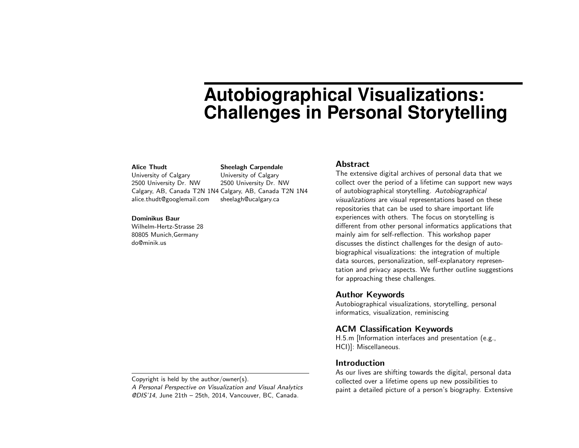# **Autobiographical Visualizations: Challenges in Personal Storytelling**

## Alice Thudt

University of Calgary 2500 University Dr. NW Calgary, AB, Canada T2N 1N4 Calgary, AB, Canada T2N 1N4 alice.thudt@googlemail.com University of Calgary 2500 University Dr. NW sheelagh@ucalgary.ca

Sheelagh Carpendale

#### Dominikus Baur

Wilhelm-Hertz-Strasse 28 80805 Munich,Germany do@minik.us

#### Abstract

The extensive digital archives of personal data that we collect over the period of a lifetime can support new ways of autobiographical storytelling. Autobiographical visualizations are visual representations based on these repositories that can be used to share important life experiences with others. The focus on storytelling is different from other personal informatics applications that mainly aim for self-reflection. This workshop paper discusses the distinct challenges for the design of autobiographical visualizations: the integration of multiple data sources, personalization, self-explanatory representation and privacy aspects. We further outline suggestions for approaching these challenges.

#### Author Keywords

Autobiographical visualizations, storytelling, personal informatics, visualization, reminiscing

# ACM Classification Keywords

H.5.m [Information interfaces and presentation (e.g., HCI)]: Miscellaneous.

## Introduction

As our lives are shifting towards the digital, personal data collected over a lifetime opens up new possibilities to paint a detailed picture of a person's biography. Extensive

Copyright is held by the author/owner(s).

A Personal Perspective on Visualization and Visual Analytics @DIS'14, June 21th – 25th, 2014, Vancouver, BC, Canada.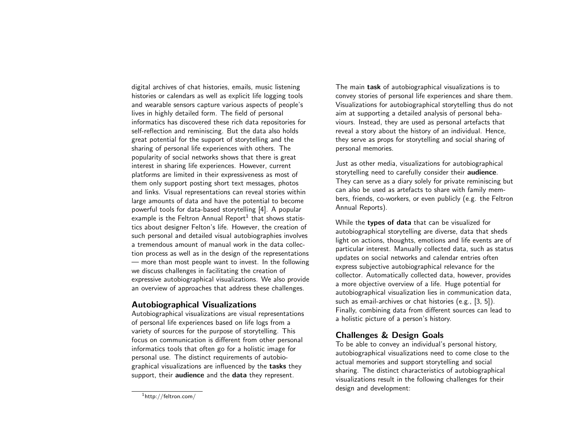digital archives of chat histories, emails, music listening histories or calendars as well as explicit life logging tools and wearable sensors capture various aspects of people's lives in highly detailed form. The field of personal informatics has discovered these rich data repositories for self-reflection and reminiscing. But the data also holds great potential for the support of storytelling and the sharing of personal life experiences with others. The popularity of social networks shows that there is great interest in sharing life experiences. However, current platforms are limited in their expressiveness as most of them only support posting short text messages, photos and links. Visual representations can reveal stories within large amounts of data and have the potential to become powerful tools for data-based storytelling [\[4\]](#page-3-0). A popular example is the Feltron Annual Report $^1$  $^1$  that shows statistics about designer Felton's life. However, the creation of such personal and detailed visual autobiographies involves a tremendous amount of manual work in the data collection process as well as in the design of the representations — more than most people want to invest. In the following we discuss challenges in facilitating the creation of expressive autobiographical visualizations. We also provide an overview of approaches that address these challenges.

## Autobiographical Visualizations

Autobiographical visualizations are visual representations of personal life experiences based on life logs from a variety of sources for the purpose of storytelling. This focus on communication is different from other personal informatics tools that often go for a holistic image for personal use. The distinct requirements of autobiographical visualizations are influenced by the tasks they support, their audience and the data they represent.

<span id="page-1-0"></span><sup>1</sup>http://feltron.com/

The main task of autobiographical visualizations is to convey stories of personal life experiences and share them. Visualizations for autobiographical storytelling thus do not aim at supporting a detailed analysis of personal behaviours. Instead, they are used as personal artefacts that reveal a story about the history of an individual. Hence, they serve as props for storytelling and social sharing of personal memories.

Just as other media, visualizations for autobiographical storytelling need to carefully consider their audience. They can serve as a diary solely for private reminiscing but can also be used as artefacts to share with family members, friends, co-workers, or even publicly (e.g. the Feltron Annual Reports).

While the types of data that can be visualized for autobiographical storytelling are diverse, data that sheds light on actions, thoughts, emotions and life events are of particular interest. Manually collected data, such as status updates on social networks and calendar entries often express subjective autobiographical relevance for the collector. Automatically collected data, however, provides a more objective overview of a life. Huge potential for autobiographical visualization lies in communication data, such as email-archives or chat histories (e.g., [\[3,](#page-3-1) [5\]](#page-3-2)). Finally, combining data from different sources can lead to a holistic picture of a person's history.

# Challenges & Design Goals

To be able to convey an individual's personal history, autobiographical visualizations need to come close to the actual memories and support storytelling and social sharing. The distinct characteristics of autobiographical visualizations result in the following challenges for their design and development: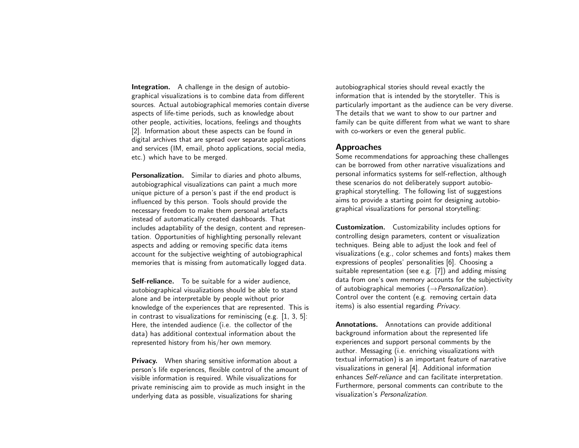Integration. A challenge in the design of autobiographical visualizations is to combine data from different sources. Actual autobiographical memories contain diverse aspects of life-time periods, such as knowledge about other people, activities, locations, feelings and thoughts [\[2\]](#page-3-3). Information about these aspects can be found in digital archives that are spread over separate applications and services (IM, email, photo applications, social media, etc.) which have to be merged.

Personalization. Similar to diaries and photo albums, autobiographical visualizations can paint a much more unique picture of a person's past if the end product is influenced by this person. Tools should provide the necessary freedom to make them personal artefacts instead of automatically created dashboards. That includes adaptability of the design, content and representation. Opportunities of highlighting personally relevant aspects and adding or removing specific data items account for the subjective weighting of autobiographical memories that is missing from automatically logged data.

Self-reliance. To be suitable for a wider audience. autobiographical visualizations should be able to stand alone and be interpretable by people without prior knowledge of the experiences that are represented. This is in contrast to visualizations for reminiscing (e.g. [\[1,](#page-3-4) [3,](#page-3-1) [5\]](#page-3-2): Here, the intended audience (i.e. the collector of the data) has additional contextual information about the represented history from his/her own memory.

**Privacy.** When sharing sensitive information about a person's life experiences, flexible control of the amount of visible information is required. While visualizations for private reminiscing aim to provide as much insight in the underlying data as possible, visualizations for sharing

autobiographical stories should reveal exactly the information that is intended by the storyteller. This is particularly important as the audience can be very diverse. The details that we want to show to our partner and family can be quite different from what we want to share with co-workers or even the general public.

#### Approaches

Some recommendations for approaching these challenges can be borrowed from other narrative visualizations and personal informatics systems for self-reflection, although these scenarios do not deliberately support autobiographical storytelling. The following list of suggestions aims to provide a starting point for designing autobiographical visualizations for personal storytelling:

Customization. Customizability includes options for controlling design parameters, content or visualization techniques. Being able to adjust the look and feel of visualizations (e.g., color schemes and fonts) makes them expressions of peoples' personalities [\[6\]](#page-3-5). Choosing a suitable representation (see e.g. [\[7\]](#page-3-6)) and adding missing data from one's own memory accounts for the subjectivity of autobiographical memories  $(\rightarrow$  *Personalization*). Control over the content (e.g. removing certain data items) is also essential regarding Privacy.

Annotations. Annotations can provide additional background information about the represented life experiences and support personal comments by the author. Messaging (i.e. enriching visualizations with textual information) is an important feature of narrative visualizations in general [\[4\]](#page-3-0). Additional information enhances Self-reliance and can facilitate interpretation. Furthermore, personal comments can contribute to the visualization's Personalization.